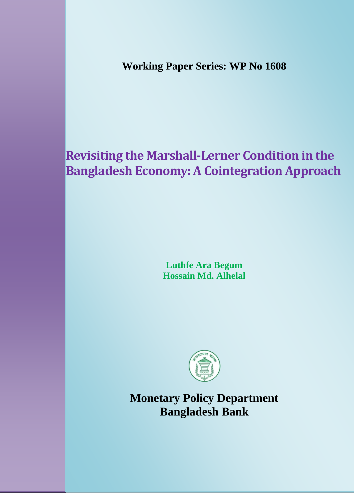**Working Paper Series: WP No 1608**

# **Revisiting the Marshall-Lerner Condition in the Bangladesh Economy: A Cointegration Approach**

**Luthfe Ara Begum Hossain Md. Alhelal**



**Monetary Policy Department Bangladesh Bank**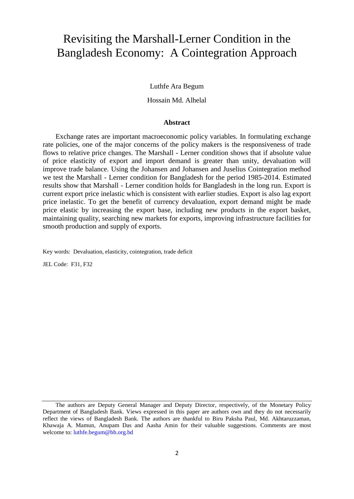## Revisiting the Marshall-Lerner Condition in the Bangladesh Economy: A Cointegration Approach

Luthfe Ara Begum

Hossain Md. Alhelal

## **Abstract**

Exchange rates are important macroeconomic policy variables. In formulating exchange rate policies, one of the major concerns of the policy makers is the responsiveness of trade flows to relative price changes. The Marshall - Lerner condition shows that if absolute value of price elasticity of export and import demand is greater than unity, devaluation will improve trade balance. Using the Johansen and Johansen and Juselius Cointegration method we test the Marshall - Lerner condition for Bangladesh for the period 1985-2014. Estimated results show that Marshall - Lerner condition holds for Bangladesh in the long run. Export is current export price inelastic which is consistent with earlier studies. Export is also lag export price inelastic. To get the benefit of currency devaluation, export demand might be made price elastic by increasing the export base, including new products in the export basket, maintaining quality, searching new markets for exports, improving infrastructure facilities for smooth production and supply of exports.

Key words: Devaluation, elasticity, cointegration, trade deficit

JEL Code: F31, F32

The authors are Deputy General Manager and Deputy Director, respectively, of the Monetary Policy Department of Bangladesh Bank. Views expressed in this paper are authors own and they do not necessarily reflect the views of Bangladesh Bank. The authors are thankful to Biru Paksha Paul, Md. Akhtaruzzaman, Khawaja A. Mamun, Anupam Das and Aasha Amin for their valuable suggestions. Comments are most welcome to[: luthfe.begum@bb.org.bd](mailto:luthfe.begum@bb.org.bd)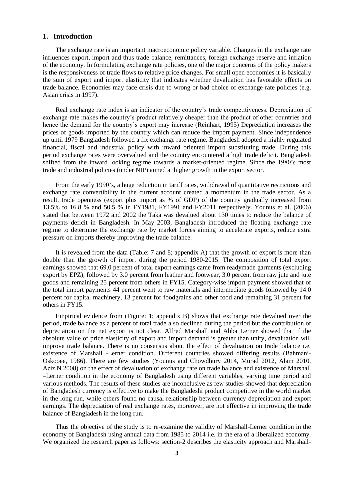## **1. Introduction**

The exchange rate is an important macroeconomic policy variable. Changes in the exchange rate influences export, import and thus trade balance, remittances, foreign exchange reserve and inflation of the economy. In formulating exchange rate policies, one of the major concerns of the policy makers is the responsiveness of trade flows to relative price changes. For small open economies it is basically the sum of export and import elasticity that indicates whether devaluation has favorable effects on trade balance. Economies may face crisis due to wrong or bad choice of exchange rate policies (e.g. Asian crisis in 1997).

Real exchange rate index is an indicator of the country's trade competitiveness. Depreciation of exchange rate makes the country's product relatively cheaper than the product of other countries and hence the demand for the country's export may increase (Reinhart, 1995) Depreciation increases the prices of goods imported by the country which can reduce the import payment. Since independence up until 1979 Bangladesh followed a fix exchange rate regime. Bangladesh adopted a highly regulated financial, fiscal and industrial policy with inward oriented import substituting trade. During this period exchange rates were overvalued and the country encountered a high trade deficit. Bangladesh shifted from the inward looking regime towards a market-oriented regime. Since the 1980's most trade and industrial policies (under NIP) aimed at higher growth in the export sector.

From the early 1990's, a huge reduction in tariff rates, withdrawal of quantitative restrictions and exchange rate convertibility in the current account created a momentum in the trade sector. As a result, trade openness (export plus import as % of GDP) of the country gradually increased from 13.5% to 16.8 % and 50.5 % in FY1981, FY1991 and FY2011 respectively. Younus et al. (2006) stated that between 1972 and 2002 the Taka was devalued about 130 times to reduce the balance of payments deficit in Bangladesh. In May 2003, Bangladesh introduced the floating exchange rate regime to determine the exchange rate by market forces aiming to accelerate exports, reduce extra pressure on imports thereby improving the trade balance.

It is revealed from the data (Table: 7 and 8; appendix A) that the growth of export is more than double than the growth of import during the period 1980-2015. The composition of total export earnings showed that 69.0 percent of total export earnings came from readymade garments (excluding export by EPZ), followed by 3.0 percent from leather and footwear, 3.0 percent from raw jute and jute goods and remaining 25 percent from others in FY15. Category-wise import payment showed that of the total import payments 44 percent went to raw materials and intermediate goods followed by 14.0 percent for capital machinery, 13 percent for foodgrains and other food and remaining 31 percent for others in FY15.

Empirical evidence from (Figure: 1; appendix B) shows that exchange rate devalued over the period, trade balance as a percent of total trade also declined during the period but the contribution of depreciation on the net export is not clear. Alfred Marshall and Abba Lerner showed that if the absolute value of price elasticity of export and import demand is greater than unity, devaluation will improve trade balance. There is no consensus about the effect of devaluation on trade balance i.e. existence of Marshall -Lerner condition. Different countries showed differing results (Bahmani-Oskooee, 1986). There are few studies (Younus and Chowdhury 2014, Murad 2012, Alam 2010, Aziz.N 2008) on the effect of devaluation of exchange rate on trade balance and existence of Marshall –Lerner condition in the economy of Bangladesh using different variables, varying time period and various methods. The results of these studies are inconclusive as few studies showed that depreciation of Bangladesh currency is effective to make the Bangladeshi product competitive in the world market in the long run, while others found no causal relationship between currency depreciation and export earnings. The depreciation of real exchange rates, moreover, are not effective in improving the trade balance of Bangladesh in the long run.

Thus the objective of the study is to re-examine the validity of Marshall-Lerner condition in the economy of Bangladesh using annual data from 1985 to 2014 i.e. in the era of a liberalized economy. We organized the research paper as follows: section-2 describes the elasticity approach and Marshall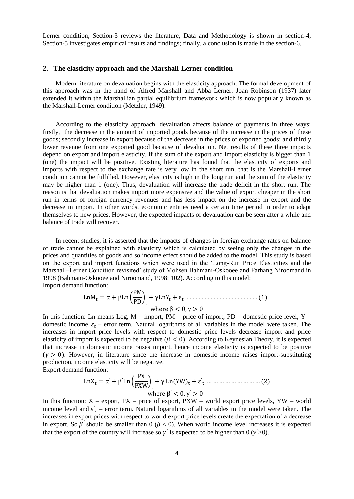Lerner condition, Section-3 reviews the literature, Data and Methodology is shown in section-4, Section-5 investigates empirical results and findings; finally, a conclusion is made in the section-6.

## **2. The elasticity approach and the Marshall-Lerner condition**

Modern literature on devaluation begins with the elasticity approach. The formal development of this approach was in the hand of Alfred Marshall and Abba Lerner. Joan Robinson (1937) later extended it within the Marshallian partial equilibrium framework which is now popularly known as the Marshall-Lerner condition (Metzler, 1949).

According to the elasticity approach, devaluation affects balance of payments in three ways: firstly, the decrease in the amount of imported goods because of the increase in the prices of these goods; secondly increase in export because of the decrease in the prices of exported goods; and thirdly lower revenue from one exported good because of devaluation. Net results of these three impacts depend on export and import elasticity. If the sum of the export and import elasticity is bigger than 1 (one) the impact will be positive. Existing literature has found that the elasticity of exports and imports with respect to the exchange rate is very low in the short run, that is the Marshall-Lerner condition cannot be fulfilled. However, elasticity is high in the long run and the sum of the elasticity may be higher than 1 (one). Thus, devaluation will increase the trade deficit in the short run. The reason is that devaluation makes import more expensive and the value of export cheaper in the short run in terms of foreign currency revenues and has less impact on the increase in export and the decrease in import. In other words, economic entities need a certain time period in order to adapt themselves to new prices. However, the expected impacts of devaluation can be seen after a while and balance of trade will recover.

In recent studies, it is asserted that the impacts of changes in foreign exchange rates on balance of trade cannot be explained with elasticity which is calculated by seeing only the changes in the prices and quantities of goods and so income effect should be added to the model. This study is based on the export and import functions which were used in the 'Long-Run Price Elasticities and the Marshall–Lerner Condition revisited' study of Mohsen Bahmani-Oskooee and Farhang Niroomand in 1998 (Bahmani-Oskooee and Niroomand, 1998: 102). According to this model; Import demand function:

 

In this function: Ln means Log,  $M$  – import,  $PM$  – price of import,  $PD$  – domestic price level,  $Y$  – domestic income,  $\varepsilon_t$  – error term. Natural logarithms of all variables in the model were taken. The increases in import price levels with respect to domestic price levels decrease import and price elasticity of import is expected to be negative ( $\beta$  < 0). According to Keynesian Theory, it is expected that increase in domestic income raises import, hence income elasticity is expected to be positive  $(\gamma > 0)$ . However, in literature since the increase in domestic income raises import-substituting production, income elasticity will be negative.

Export demand function:

 

In this function:  $X$  – export,  $PX$  – price of export,  $PXW$  – world export price levels,  $YW$  – world income level and  $\varepsilon'$ <sub>t</sub> – error term. Natural logarithms of all variables in the model were taken. The increases in export prices with respect to world export price levels create the expectation of a decrease in export. So  $\beta'$  should be smaller than 0 ( $\beta' < 0$ ). When world income level increases it is expected that the export of the country will increase so  $\gamma$  is expected to be higher than 0 ( $\gamma$  >0).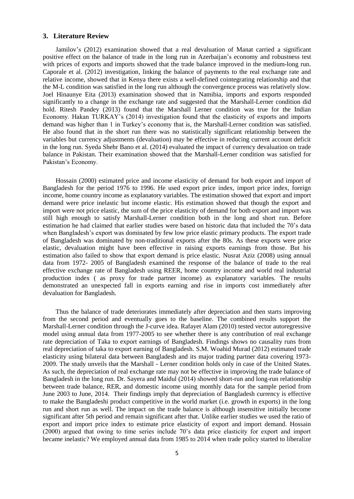## **3. Literature Review**

Jamilov's (2012) examination showed that a real devaluation of Manat carried a significant positive effect on the balance of trade in the long run in Azerbaijan's economy and robustness test with prices of exports and imports showed that the trade balance improved in the medium-long run. Caporale et al. (2012) investigation, linking the balance of payments to the real exchange rate and relative income, showed that in Kenya there exists a well-defined cointegrating relationship and that the M-L condition was satisfied in the long run although the convergence process was relatively slow. Joel Hinaunye Eita (2013) examination showed that in Namibia, imports and exports responded significantly to a change in the exchange rate and suggested that the Marshall-Lerner condition did hold. Ritesh Pandey (2013) found that the Marshall Lerner condition was true for the Indian Economy. Hakan TURKAY's (2014) investigation found that the elasticity of exports and imports demand was higher than 1 in Turkey's economy that is, the Marshall-Lerner condition was satisfied. He also found that in the short run there was no statistically significant relationship between the variables but currency adjustments (devaluation) may be effective in reducing current account deficit in the long run. Syeda Shehr Bano et al. (2014) evaluated the impact of currency devaluation on trade balance in Pakistan. Their examination showed that the Marshall-Lerner condition was satisfied for Pakistan's Economy.

Hossain (2000) estimated price and income elasticity of demand for both export and import of Bangladesh for the period 1976 to 1996. He used export price index, import price index, foreign income, home country income as explanatory variables. The estimation showed that export and import demand were price inelastic but income elastic. His estimation showed that though the export and import were not price elastic, the sum of the price elasticity of demand for both export and import was still high enough to satisfy Marshall-Lerner condition both in the long and short run. Before estimation he had claimed that earlier studies were based on historic data that included the 70's data when Bangladesh's export was dominated by few low price elastic primary products. The export trade of Bangladesh was dominated by non-traditional exports after the 80s. As these exports were price elastic, devaluation might have been effective in raising exports earnings from those. But his estimation also failed to show that export demand is price elastic. Nusrat Aziz (2008) using annual data from 1972- 2005 of Bangladesh examined the response of the balance of trade to the real effective exchange rate of Bangladesh using REER, home country income and world real industrial production index ( as proxy for trade partner income) as explanatory variables. The results demonstrated an unexpected fall in exports earning and rise in imports cost immediately after devaluation for Bangladesh.

Thus the balance of trade deteriorates immediately after depreciation and then starts improving from the second period and eventually goes to the baseline. The combined results support the Marshall-Lerner condition through the J-curve idea. Rafayet Alam (2010) tested vector autoregressive model using annual data from 1977-2005 to see whether there is any contribution of real exchange rate depreciation of Taka to export earnings of Bangladesh. Findings shows no causality runs from real depreciation of taka to export earning of Bangladesh. S.M. Woahid Murad (2012) estimated trade elasticity using bilateral data between Bangladesh and its major trading partner data covering 1973- 2009. The study unveils that the Marshall - Lerner condition holds only in case of the United States. As such, the depreciation of real exchange rate may not be effective in improving the trade balance of Bangladesh in the long run. Dr. Sayera and Maidul (2014) showed short-run and long-run relationship between trade balance, RER, and domestic income using monthly data for the sample period from June 2003 to June, 2014. Their findings imply that depreciation of Bangladesh currency is effective to make the Bangladeshi product competitive in the world market (i.e. growth in exports) in the long run and short run as well. The impact on the trade balance is although insensitive initially become significant after 5th period and remain significant after that. Unlike earlier studies we used the ratio of export and import price index to estimate price elasticity of export and import demand. Hossain (2000) argued that owing to time series include 70's data price elasticity for export and import became inelastic? We employed annual data from 1985 to 2014 when trade policy started to liberalize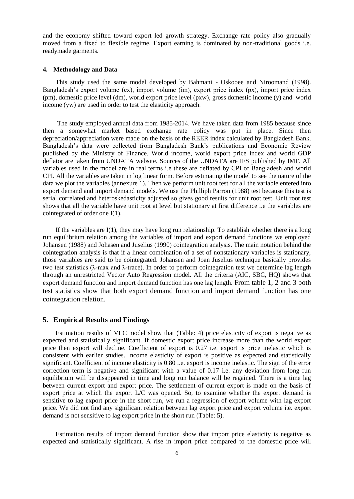and the economy shifted toward export led growth strategy. Exchange rate policy also gradually moved from a fixed to flexible regime. Export earning is dominated by non-traditional goods i.e. readymade garments.

## **4. Methodology and Data**

This study used the same model developed by Bahmani - Oskooee and Niroomand (1998). Bangladesh's export volume (ex), import volume (im), export price index (px), import price index (pm), domestic price level (dm), world export price level (pxw), gross domestic income (y) and world income (yw) are used in order to test the elasticity approach.

The study employed annual data from 1985-2014. We have taken data from 1985 because since then a somewhat market based exchange rate policy was put in place. Since then depreciation/appreciation were made on the basis of the REER index calculated by Bangladesh Bank. Bangladesh's data were collected from Bangladesh Bank's publications and Economic Review published by the Ministry of Finance. World income, world export price index and world GDP deflator are taken from UNDATA website. Sources of the UNDATA are IFS published by IMF. All variables used in the model are in real terms i.e these are deflated by CPI of Bangladesh and world CPI. All the variables are taken in log linear form. Before estimating the model to see the nature of the data we plot the variables (annexure 1). Then we perform unit root test for all the variable entered into export demand and import demand models. We use the Philliph Parron (1988) test because this test is serial correlated and heteroskedasticity adjusted so gives good results for unit root test. Unit root test shows that all the variable have unit root at level but stationary at first difference i.e the variables are cointegrated of order one I(1).

If the variables are  $I(1)$ , they may have long run relationship. To establish whether there is a long run equilibrium relation among the variables of import and export demand functions we employed Johansen (1988) and Johasen and Juselius (1990) cointegration analysis. The main notation behind the cointegration analysis is that if a linear combination of a set of nonstationary variables is stationary, those variables are said to be cointegrated. Johansen and Joan Juselius technique basically provides two test statistics (λ-max and λ-trace). In order to perform cointegration test we determine lag length through an unrestricted Vector Auto Regression model. All the criteria (AIC, SBC, HQ) shows that export demand function and import demand function has one lag length. From table 1, 2 and 3 both test statistics show that both export demand function and import demand function has one cointegration relation.

## **5. Empirical Results and Findings**

Estimation results of VEC model show that (Table: 4) price elasticity of export is negative as expected and statistically significant. If domestic export price increase more than the world export price then export will decline. Coefficient of export is 0.27 i.e. export is price inelastic which is consistent with earlier studies. Income elasticity of export is positive as expected and statistically significant. Coefficient of income elasticity is 0.80 i.e. export is income inelastic. The sign of the error correction term is negative and significant with a value of 0.17 i.e. any deviation from long run equilibrium will be disappeared in time and long run balance will be regained. There is a time lag between current export and export price. The settlement of current export is made on the basis of export price at which the export L/C was opened. So, to examine whether the export demand is sensitive to lag export price in the short run, we run a regression of export volume with lag export price. We did not find any significant relation between lag export price and export volume i.e. export demand is not sensitive to lag export price in the short run (Table: 5).

Estimation results of import demand function show that import price elasticity is negative as expected and statistically significant. A rise in import price compared to the domestic price will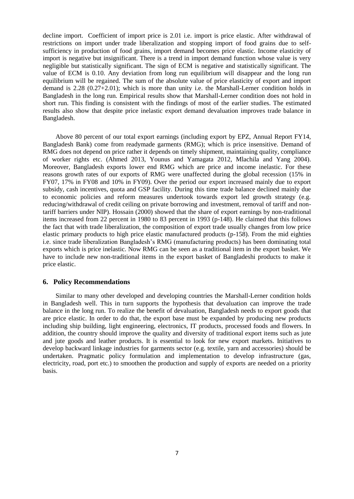decline import. Coefficient of import price is 2.01 i.e. import is price elastic. After withdrawal of restrictions on import under trade liberalization and stopping import of food grains due to selfsufficiency in production of food grains, import demand becomes price elastic. Income elasticity of import is negative but insignificant. There is a trend in import demand function whose value is very negligible but statistically significant. The sign of ECM is negative and statistically significant. The value of ECM is 0.10. Any deviation from long run equilibrium will disappear and the long run equilibrium will be regained. The sum of the absolute value of price elasticity of export and import demand is 2.28 (0.27+2.01); which is more than unity i.e. the Marshall-Lerner condition holds in Bangladesh in the long run. Empirical results show that Marshall-Lerner condition does not hold in short run. This finding is consistent with the findings of most of the earlier studies. The estimated results also show that despite price inelastic export demand devaluation improves trade balance in Bangladesh.

Above 80 percent of our total export earnings (including export by EPZ, Annual Report FY14, Bangladesh Bank) come from readymade garments (RMG); which is price insensitive. Demand of RMG does not depend on price rather it depends on timely shipment, maintaining quality, compliance of worker rights etc. (Ahmed 2013, Younus and Yamagata 2012, Mlachila and Yang 2004). Moreover, Bangladesh exports lower end RMG which are price and income inelastic. For these reasons growth rates of our exports of RMG were unaffected during the global recession (15% in FY07, 17% in FY08 and 10% in FY09). Over the period our export increased mainly due to export subsidy, cash incentives, quota and GSP facility. During this time trade balance declined mainly due to economic policies and reform measures undertook towards export led growth strategy (e.g. reducing/withdrawal of credit ceiling on private borrowing and investment, removal of tariff and nontariff barriers under NIP). Hossain (2000) showed that the share of export earnings by non-traditional items increased from 22 percent in 1980 to 83 percent in 1993 (p-148). He claimed that this follows the fact that with trade liberalization, the composition of export trade usually changes from low price elastic primary products to high price elastic manufactured products (p-158). From the mid eighties i.e. since trade liberalization Bangladesh's RMG (manufacturing products) has been dominating total exports which is price inelastic. Now RMG can be seen as a traditional item in the export basket. We have to include new non-traditional items in the export basket of Bangladeshi products to make it price elastic.

## **6. Policy Recommendations**

Similar to many other developed and developing countries the Marshall-Lerner condition holds in Bangladesh well. This in turn supports the hypothesis that devaluation can improve the trade balance in the long run. To realize the benefit of devaluation, Bangladesh needs to export goods that are price elastic. In order to do that, the export base must be expanded by producing new products including ship building, light engineering, electronics, IT products, processed foods and flowers. In addition, the country should improve the quality and diversity of traditional export items such as jute and jute goods and leather products. It is essential to look for new export markets. Initiatives to develop backward linkage industries for garments sector (e.g. textile, yarn and accessories) should be undertaken. Pragmatic policy formulation and implementation to develop infrastructure (gas, electricity, road, port etc.) to smoothen the production and supply of exports are needed on a priority basis.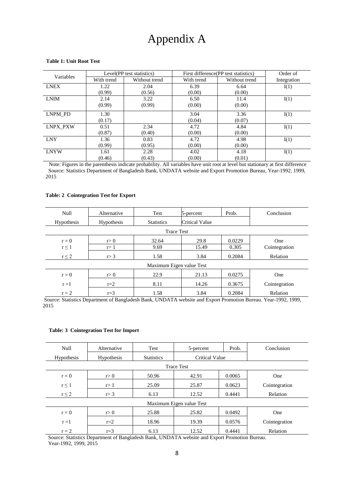## Appendix A

#### **Table 1: Unit Root Test**

| Variables       |            | Level(PP test statistics) |            | First difference (PP test statistics) | Order of    |
|-----------------|------------|---------------------------|------------|---------------------------------------|-------------|
|                 | With trend | Without trend             | With trend | Without trend                         | Integration |
| <b>LNEX</b>     | 1.22       | 2.04                      | 6.39       | 6.64                                  | I(1)        |
|                 | (0.99)     | (0.56)                    | (0.00)     | (0.00)                                |             |
| <b>LNIM</b>     | 2.14       | 3.22                      | 6.50       | 11.4                                  | I(1)        |
|                 | (0.99)     | (0.99)                    | (0.00)     | (0.00)                                |             |
| LNPM PD         | 1.30       |                           | 3.04       | 3.36                                  | I(1)        |
|                 | (0.17)     |                           | (0.04)     | (0.07)                                |             |
| <b>LNPX PXW</b> | 0.51       | 2.34                      | 4.72       | 4.84                                  | I(1)        |
|                 | (0.87)     | (0.40)                    | (0.00)     | (0.00)                                |             |
| <b>LNY</b>      | 1.36       | 0.83                      | 4.72       | 4.98                                  | I(1)        |
|                 | (0.99)     | (0.95)                    | (0.00)     | (0.00)                                |             |
| <b>LNYW</b>     | 1.61       | 2.28                      | 4.02       | 4.18                                  | I(1)        |
|                 | (0.46)     | (0.43)                    | (0.00)     | (0.01)                                |             |

 Note: Figures in the parenthesis indicate probability. All variables have unit root at level but stationary at first difference Source: Statistics Department of Bangladesh Bank, UNDATA website and Export Promotion Bureau, Year-1992, 1999, 2015

#### **Table: 2 Cointegration Test for Export**

| Null                                         | Alternative            | Test                                                                                                                         | 5-percent                                                      | Prob.                             | Conclusion                                |
|----------------------------------------------|------------------------|------------------------------------------------------------------------------------------------------------------------------|----------------------------------------------------------------|-----------------------------------|-------------------------------------------|
| <b>Hypothesis</b>                            | <b>Hypothesis</b>      | <b>Statistics</b>                                                                                                            | <b>Critical Value</b>                                          |                                   |                                           |
|                                              |                        | <b>Trace Test</b>                                                                                                            |                                                                |                                   |                                           |
| $r = 0$                                      | r > 0                  | 32.64                                                                                                                        | 29.8                                                           | 0.0229                            | One                                       |
| $r \leq 1$                                   | r > 1                  | 9.69                                                                                                                         | 15.49                                                          | 0.305                             | Cointegration                             |
| $r \leq 2$                                   | r > 3                  | 1.58                                                                                                                         | 3.84                                                           | 0.2084                            | Relation                                  |
|                                              |                        | Maximum Eigen value Test                                                                                                     |                                                                |                                   |                                           |
| $r = 0$                                      | r > 0                  | 22.9                                                                                                                         | 21.13                                                          | 0.0275                            | One                                       |
| $r = 1$                                      | $r=2$                  | 8.11                                                                                                                         | 14.26                                                          | 0.3675                            | Cointegration                             |
| $r = 2$<br>$\sim$<br>$\sim$ $\sim$<br>$\sim$ | $r=3$<br>$\sim$ $\sim$ | 1.58<br>$\mathbf{1}$ $\mathbf{1}$ $\mathbf{5}$ $\mathbf{1}$ $\mathbf{1}$ $\mathbf{1}$ $\mathbf{1}$ $\mathbf{1}$ $\mathbf{1}$ | 3.84<br>$\mathbf{u}$ . The set of $\mathbf{u}$<br>$\mathbf{r}$ | 0.2084<br>$\sim$<br>$\sim$ $\sim$ | Relation<br>$1000 - 1000$<br>$\mathbf{v}$ |

Source: Statistics Department of Bangladesh Bank, UNDATA website and Export Promotion Bureau. Year-1992, 1999, 2015

#### **Table: 3 Cointegration Test for Import**

| Null              | Alternative       | Test              | 5-percent                                                                                          | Prob.  | Conclusion    |
|-------------------|-------------------|-------------------|----------------------------------------------------------------------------------------------------|--------|---------------|
| <b>Hypothesis</b> | <b>Hypothesis</b> | <b>Statistics</b> | <b>Critical Value</b>                                                                              |        |               |
|                   |                   |                   | <b>Trace Test</b>                                                                                  |        |               |
| $r = 0$           | r > 0             | 50.96             | 42.91                                                                                              | 0.0065 | One           |
| $r \leq 1$        | r > 1             | 25.09             | 25.87                                                                                              | 0.0623 | Cointegration |
| $r \leq 2$        | r > 3             | 6.13              | 12.52                                                                                              | 0.4441 | Relation      |
|                   |                   |                   | Maximum Eigen value Test                                                                           |        |               |
| $r = 0$           | r > 0             | 25.88             | 25.82                                                                                              | 0.0492 | One           |
| $r = 1$           | $r=2$             | 18.96             | 19.39                                                                                              | 0.0576 | Cointegration |
| $r = 2$           | $r=3$             | 6.13              | 12.52<br>Course Ctotistics Department of Dangladesh Dank HMDATA website and Export Dramation Duran | 0.4441 | Relation      |

 Source: Statistics Department of Bangladesh Bank, UNDATA website and Export Promotion Bureau. Year-1992, 1999, 2015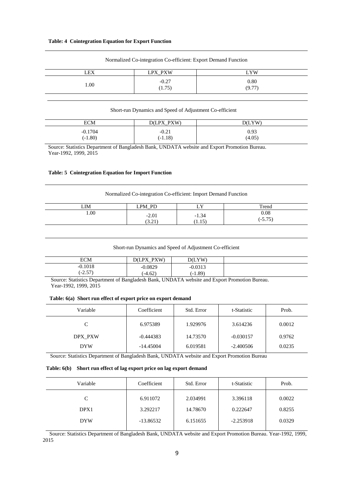| LEX  | LPX_PXW<br>- - -  | <b>YW</b>      |
|------|-------------------|----------------|
| 1.00 | $-0.27$<br>(1.75) | 0.80<br>(9.77) |

Normalized Co-integration Co-efficient: Export Demand Function

#### Short-run Dynamics and Speed of Adjustment Co-efficient

| ECM       | PXW)<br><b>PY</b><br>DÆ | D(LYW) |
|-----------|-------------------------|--------|
| $-0.1704$ | $-0.21$                 | 0.93   |
| $(-1.80)$ | $(-1.18)$               | (4.05) |

 Source: Statistics Department of Bangladesh Bank, UNDATA website and Export Promotion Bureau. Year-1992, 1999, 2015

#### **Table: 5 Cointegration Equation for Import Function**

#### Normalized Co-integration Co-efficient: Import Demand Function

| LIM  | - PD<br><b>PM</b><br><u>—</u> | v<br>ப            | Trend                        |
|------|-------------------------------|-------------------|------------------------------|
| 1.00 | $-2.01$<br>(3.21)             | $-1.34$<br>(1.15) | 0.08<br>$F$ $F$<br>$(-3.73)$ |

|  |  | Short-run Dynamics and Speed of Adjustment Co-efficient |
|--|--|---------------------------------------------------------|
|  |  |                                                         |

| <b>ECM</b>                | <b>PYW</b><br>DV.<br>7Œ | D(LYW)    |  |
|---------------------------|-------------------------|-----------|--|
| $-0.1018$                 | $-0.0829$               | $-0.0313$ |  |
| $\eta$ $\tau$<br>. ت 2- " | $(-4.62)$               | $(-1.89)$ |  |

 Source: Statistics Department of Bangladesh Bank, UNDATA website and Export Promotion Bureau. Year-1992, 1999, 2015

#### **Table: 6(a) Short run effect of export price on export demand**

| Variable   | Coefficient | Std. Error | t-Statistic | Prob.  |
|------------|-------------|------------|-------------|--------|
| C          | 6.975389    | 1.929976   | 3.614236    | 0.0012 |
| DPX PXW    | $-0.444383$ | 14.73570   | $-0.030157$ | 0.9762 |
| <b>DYW</b> | $-14.45004$ | 6.019581   | $-2.400506$ | 0.0235 |

Source: Statistics Department of Bangladesh Bank, UNDATA website and Export Promotion Bureau

#### **Table: 6(b) Short run effect of lag export price on lag export demand**

| Variable   | Coefficient | Std. Error | t-Statistic | Prob.  |
|------------|-------------|------------|-------------|--------|
|            | 6.911072    | 2.034991   | 3.396118    | 0.0022 |
| DPX1       | 3.292217    | 14.78670   | 0.222647    | 0.8255 |
| <b>DYW</b> | $-13.86532$ | 6.151655   | $-2.253918$ | 0.0329 |
|            |             |            |             |        |

 Source: Statistics Department of Bangladesh Bank, UNDATA website and Export Promotion Bureau. Year-1992, 1999, 2015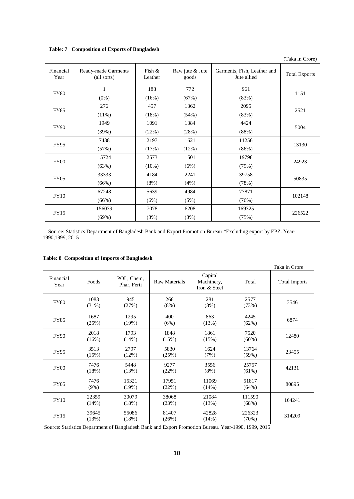**Table: 7 Composition of Exports of Bangladesh**

|                   |                                    |                      |                          |                                            | (Taka in Crore)      |
|-------------------|------------------------------------|----------------------|--------------------------|--------------------------------------------|----------------------|
| Financial<br>Year | Ready-made Garments<br>(all sorts) | Fish $\&$<br>Leather | Raw jute & Jute<br>goods | Garments, Fish, Leather and<br>Jute allied | <b>Total Exports</b> |
|                   | 1                                  | 188                  | 772                      | 961                                        |                      |
| <b>FY80</b>       | $(0\%)$                            | (16%)                | (67%)                    | (83%)                                      | 1151                 |
| <b>FY85</b>       | 276                                | 457                  | 1362                     | 2095                                       | 2521                 |
|                   | $(11\%)$                           | (18%)                | (54%)                    | (83%)                                      |                      |
| <b>FY90</b>       | 1949                               | 1091                 | 1384                     | 4424                                       | 5004                 |
|                   | (39%)                              | (22%)                | (28%)                    | (88%)                                      |                      |
| FY95              | 7438                               | 2197                 | 1621                     | 11256                                      | 13130                |
|                   | (57%)                              | (17%)                | (12%)                    | (86%)                                      |                      |
| FY00              | 15724                              | 2573                 | 1501                     | 19798                                      | 24923                |
|                   | (63%)                              | $(10\%)$             | (6%)                     | (79%)                                      |                      |
| <b>FY05</b>       | 33333                              | 4184                 | 2241                     | 39758                                      | 50835                |
|                   | (66%)                              | (8%)                 | (4%)                     | (78%)                                      |                      |
| <b>FY10</b>       | 67248                              | 5639                 | 4984                     | 77871                                      | 102148               |
|                   | (66%)                              | (6%)                 | (5%)                     | (76%)                                      |                      |
| FY15              | 156039                             | 7078                 | 6208                     | 169325                                     | 226522               |
|                   | (69%)                              | (3%)                 | (3%)                     | (75%)                                      |                      |

 Source: Statistics Department of Bangladesh Bank and Export Promotion Bureau \*Excluding export by EPZ. Year-1990,1999, 2015

| <b>Table: 8 Composition of Imports of Bangladesh</b> |
|------------------------------------------------------|
|------------------------------------------------------|

|                   |                 |                           |                      |                                       |                  | Taka in Crore        |
|-------------------|-----------------|---------------------------|----------------------|---------------------------------------|------------------|----------------------|
| Financial<br>Year | Foods           | POL, Chem,<br>Phar, Ferti | <b>Raw Materials</b> | Capital<br>Machinery,<br>Iron & Steel | Total            | <b>Total Imports</b> |
| <b>FY80</b>       | 1083<br>(31%)   | 945<br>(27%)              | 268<br>$(8\%)$       | 281<br>$(8\%)$                        | 2577<br>(73%)    | 3546                 |
| <b>FY85</b>       | 1687<br>(25%)   | 1295<br>(19%)             | 400<br>(6%)          | 863<br>(13%)                          | 4245<br>(62%)    | 6874                 |
| <b>FY90</b>       | 2018<br>(16%)   | 1793<br>(14%)             | 1848<br>(15%)        | 1861<br>(15%)                         | 7520<br>$(60\%)$ | 12480                |
| <b>FY95</b>       | 3513<br>(15%)   | 2797<br>(12%)             | 5830<br>(25%)        | 1624<br>(7%)                          | 13764<br>(59%)   | 23455                |
| FY00              | 7476<br>(18%)   | 5448<br>(13%)             | 9277<br>(22%)        | 3556<br>$(8\%)$                       | 25757<br>(61%)   | 42131                |
| <b>FY05</b>       | 7476<br>$(9\%)$ | 15321<br>(19%)            | 17951<br>(22%)       | 11069<br>(14%)                        | 51817<br>(64%)   | 80895                |
| <b>FY10</b>       | 22359<br>(14%)  | 30079<br>(18%)            | 38068<br>(23%)       | 21084<br>(13%)                        | 111590<br>(68%)  | 164241               |
| FY15              | 39645<br>(13%)  | 55086<br>(18%)            | 81407<br>(26%)       | 42828<br>(14%)                        | 226323<br>(70%)  | 314209               |

Source: Statistics Department of Bangladesh Bank and Export Promotion Bureau. Year-1990, 1999, 2015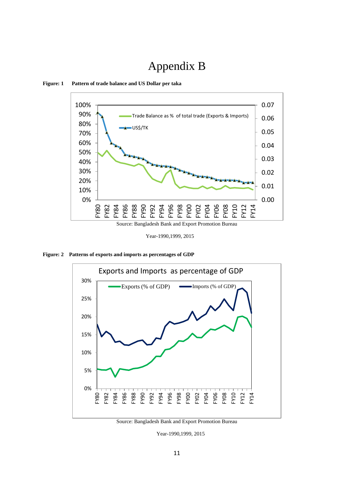# Appendix B



**Figure: 1 Pattern of trade balance and US Dollar per taka**

Year-1990,1999, 2015

**Figure: 2 Patterns of exports and imports as percentages of GDP**



Source: Bangladesh Bank and Export Promotion Bureau

Year-1990,1999, 2015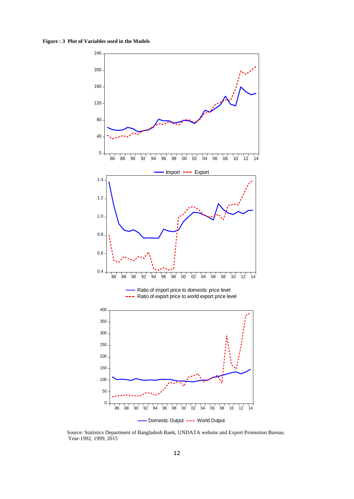**Figure : 3 Plot of Variables used in the Models**



 Source: Statistics Department of Bangladesh Bank, UNDATA website and Export Promotion Bureau. Year-1992, 1999, 2015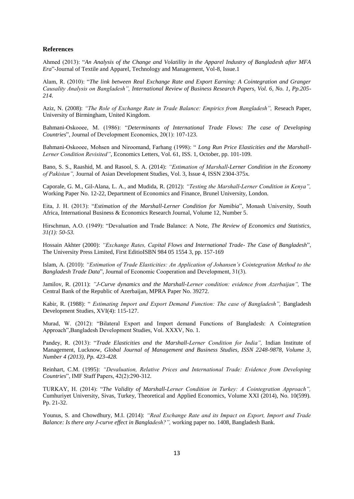#### **References**

Ahmed (2013): "*An Analysis of the Change and Volatility in the Apparel Industry of Bangladesh after MFA Era*"-Journal of Textile and Apparel, Technology and Management, Vol-8, Issue.1

Alam, R. (2010): "*The link between Real Exchange Rate and Export Earning: A Cointegration and Granger Causality Analysis on Bangladesh", International Review of Business Research Papers, Vol. 6, No. 1, Pp.205- 214.*

Aziz, N. (2008): *"The Role of Exchange Rate in Trade Balance: Empirics from Bangladesh",* Reseach Paper, University of Birmingham, United Kingdom.

Bahmani-Oskooee, M. (1986): "*Determinants of International Trade Flows: The case of Developing Countries*", Journal of Development Economics, 20(1): 107-123.

Bahmani-Oskooee, Mohsen and Niroomand, Farhang (1998): " *Long Run Price Elasticities and the Marshall-Lerner Condition Revisited"*, Economics Letters, Vol. 61, ISS. 1, October, pp. 101-109.

Bano, S. S., Raashid, M. and Rasool, S. A. (2014): *"Estimation of Marshall-Lerner Condition in the Economy of Pakistan",* Journal of Asian Development Studies, Vol. 3, Issue 4, ISSN 2304-375x*.*

Caporale, G. M., Gil-Alana, L. A., and Mudida, R. (2012): *"Testing the Marshall-Lerner Condition in Kenya",* Working Paper No. 12-22, Department of Economics and Finance, Brunel University, London.

Eita, J. H. (2013): "*Estimation of the Marshall-Lerner Condition for Namibia*", Monash University, South Africa, International Business & Economics Research Journal, Volume 12, Number 5*.*

Hirschman, A.O. (1949): "Devaluation and Trade Balance: A Note, *The Review of Economics and Statistics, 31(1): 50-53.*

Hossain Akhter (2000): *"Exchange Rates, Capital Flows and International Trade- The Case of Bangladesh*", The University Press Limited, First EditioISBN 984 05 1554 3, pp. 157-169

Islam, A. (2010): *"Estimation of Trade Elasticities: An Application of Johansen's Cointegration Method to the Bangladesh Trade Data*", Journal of Economic Cooperation and Development, 31(3).

Jamilov, R. (2011): *"J-Curve dynamics and the Marshall-Lerner condition: evidence from Azerbaijan",* The Central Bank of the Republic of Azerbaijan, MPRA Paper No. 39272.

Kabir, R. (1988): " *Estimating Import and Export Demand Function: The case of Bangladesh",* Bangladesh Development Studies, XVI(4): 115-127.

Murad, W. (2012): "Bilateral Export and Import demand Functions of Bangladesh: A Cointegration Approach",Bangladesh Development Studies, Vol. XXXV, No. 1.

Pandey, R. (2013): "*Trade Elasticities and the Marshall-Lerner Condition for India",* Indian Institute of Management, Lucknow, *Global Journal of Management and Business Studies, ISSN 2248-9878, Volume 3, Number 4 (2013), Pp. 423-428.*

Reinhart, C.M. (1995): *"Devaluation, Relative Prices and International Trade: Evidence from Developing Countries*", IMF Staff Papers, 42(2):290-312.

TURKAY, H. (2014): "*The Validity of Marshall-Lerner Condition in Turkey: A Cointegration Approach",*  Cumhuriyet University, Sivas, Turkey, Theoretical and Applied Economics, Volume XXI (2014), No. 10(599). Pp. 21-32.

Younus, S. and Chowdhury, M.I. (2014): *"Real Exchange Rate and its Impact on Export, Import and Trade Balance: Is there any J-curve effect in Bangladesh?",* working paper no. 1408, Bangladesh Bank.